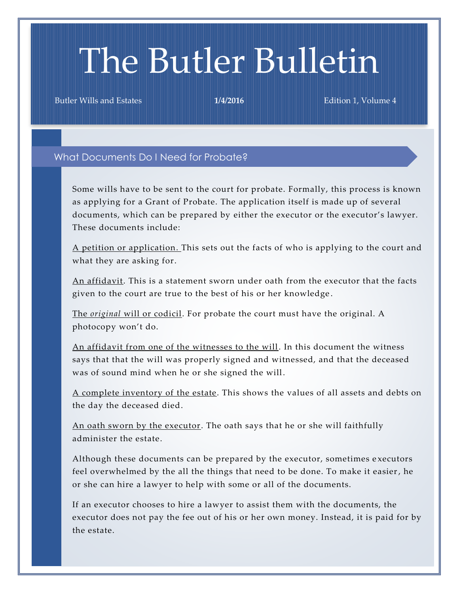# The Butler Bulletin

Butler Wills and Estates **1/4/2016** Edition 1, Volume 4

## What Documents Do I Need for Probate?

Some wills have to be sent to the court for probate. Formally, this process is known as applying for a Grant of Probate. The application itself is made up of several documents, which can be prepared by either the executor or the executor's lawyer. These documents include:

A petition or application. This sets out the facts of who is applying to the court and what they are asking for.

An affidavit. This is a statement sworn under oath from the executor that the facts given to the court are true to the best of his or her knowledge .

The *original* will or codicil. For probate the court must have the original. A photocopy won't do.

An affidavit from one of the witnesses to the will. In this document the witness says that that the will was properly signed and witnessed, and that the deceased was of sound mind when he or she signed the will.

A complete inventory of the estate. This shows the values of all assets and debts on the day the deceased died.

An oath sworn by the executor. The oath says that he or she will faithfully administer the estate.

Although these documents can be prepared by the executor, sometimes e xecutors feel overwhelmed by the all the things that need to be done. To make it easier, he or she can hire a lawyer to help with some or all of the documents.

If an executor chooses to hire a lawyer to assist them with the documents, the executor does not pay the fee out of his or her own money. Instead, it is paid for by the estate.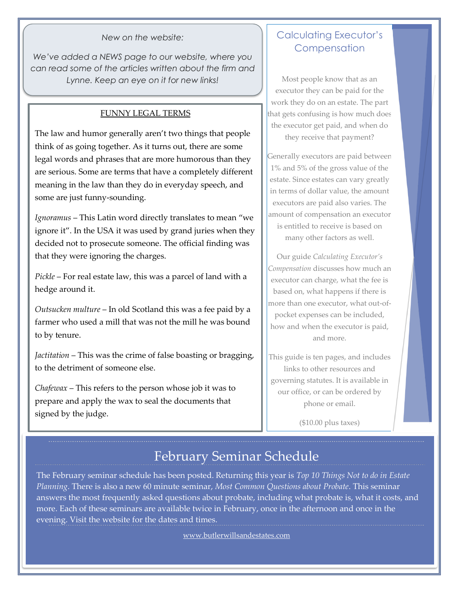#### *New on the website:*

*We've added a NEWS page to our website, where you can read some of the articles written about the firm and Lynne. Keep an eye on it for new links!*

## FUNNY LEGAL TERMS

The law and humor generally aren't two things that people think of as going together. As it turns out, there are some legal words and phrases that are more humorous than they are serious. Some are terms that have a completely different meaning in the law than they do in everyday speech, and some are just funny-sounding.

*Ignoramus* – This Latin word directly translates to mean "we ignore it". In the USA it was used by grand juries when they decided not to prosecute someone. The official finding was that they were ignoring the charges.

*Pickle* – For real estate law, this was a parcel of land with a hedge around it.

*Outsucken multure* – In old Scotland this was a fee paid by a farmer who used a mill that was not the mill he was bound to by tenure.

*Jactitation* – This was the crime of false boasting or bragging, to the detriment of someone else.

*Chafewax* – This refers to the person whose job it was to prepare and apply the wax to seal the documents that signed by the judge.

## Calculating Executor's **Compensation**

Most people know that as an executor they can be paid for the work they do on an estate. The part that gets confusing is how much does the executor get paid, and when do they receive that payment?

Generally executors are paid between 1% and 5% of the gross value of the estate. Since estates can vary greatly in terms of dollar value, the amount executors are paid also varies. The amount of compensation an executor is entitled to receive is based on many other factors as well.

Our guide *Calculating Executor's Compensation* discusses how much an executor can charge, what the fee is based on, what happens if there is more than one executor, what out-ofpocket expenses can be included, how and when the executor is paid, and more.

This guide is ten pages, and includes links to other resources and governing statutes. It is available in our office, or can be ordered by phone or email.

(\$10.00 plus taxes)

## February Seminar Schedule

The February seminar schedule has been posted. Returning this year is *Top 10 Things Not to do in Estate Planning*. There is also a new 60 minute seminar, *Most Common Questions about Probate*. This seminar answers the most frequently asked questions about probate, including what probate is, what it costs, and more. Each of these seminars are available twice in February, once in the afternoon and once in the evening. Visit the website for the dates and times.

[www.butlerwillsandestates.com](http://www.butlerwillsandestates.com/)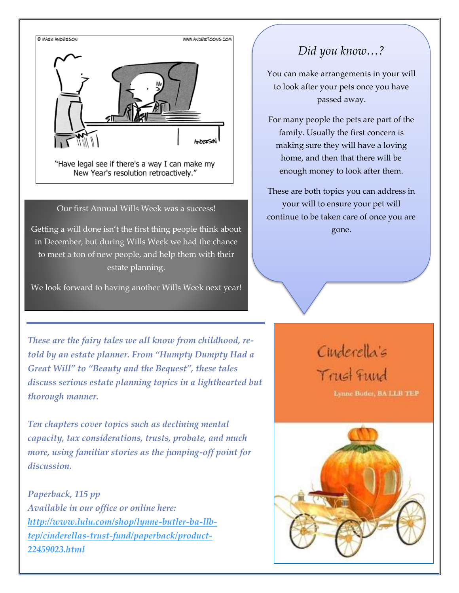

"Have legal see if there's a way I can make my New Year's resolution retroactively."

### Our first Annual Wills Week was a success!

Getting a will done isn't the first thing people think about in December, but during Wills Week we had the chance to meet a ton of new people, and help them with their estate planning.

We look forward to having another Wills Week next year!

*Did you know…?*

You can make arrangements in your will to look after your pets once you have passed away.

For many people the pets are part of the family. Usually the first concern is making sure they will have a loving home, and then that there will be enough money to look after them.

These are both topics you can address in your will to ensure your pet will continue to be taken care of once you are gone.

*These are the fairy tales we all know from childhood, retold by an estate planner. From "Humpty Dumpty Had a Great Will" to "Beauty and the Bequest", these tales discuss serious estate planning topics in a lighthearted but thorough manner.*

*Ten chapters cover topics such as declining mental capacity, tax considerations, trusts, probate, and much more, using familiar stories as the jumping-off point for discussion.* 

*Paperback, 115 pp Available in our office or online here: [http://www.lulu.com/shop/lynne-butler-ba-llb](http://www.lulu.com/shop/lynne-butler-ba-llb-tep/cinderellas-trust-fund/paperback/product-22459023.html)[tep/cinderellas-trust-fund/paperback/product-](http://www.lulu.com/shop/lynne-butler-ba-llb-tep/cinderellas-trust-fund/paperback/product-22459023.html)[22459023.html](http://www.lulu.com/shop/lynne-butler-ba-llb-tep/cinderellas-trust-fund/paperback/product-22459023.html)*

# Cinderella's Trust Fund

Lynne Boder, BA LLB TEP